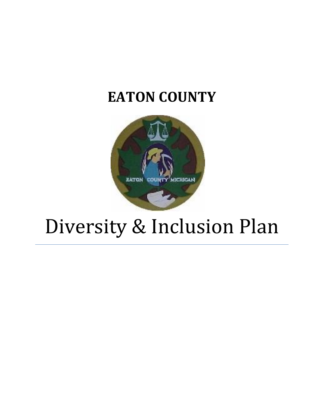## **EATON COUNTY**



# Diversity & Inclusion Plan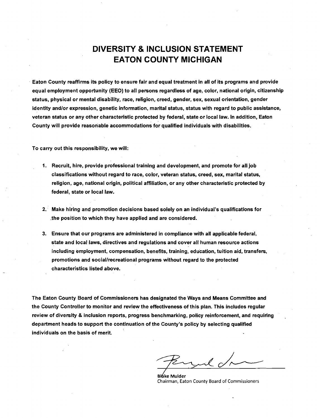### **DIVERSITY & INCLUSION STATEMENT EATON COUNTY MICHIGAN**

. Eaton County reaffirms its policy to ensure fair and equal treatment in all of its programs and provide equal employment opportunity (EEO) to all persons regardless of age, color, national origin, citizenship status, physical or mental disability, race, religion, creed, gender, sex, sexual orientation, gender identity and/or expression, genetic information, marital status, status with regard to public assistance, veteran status or any other characteristic protected by federal, state or local law. In addition, Eaton County will provide reasonable accommodations for qualified individuals with disabilities.

To carry out this responsibility, we will:

- 1. Recruit, hire, provide professional training and development, and promote for all job classifications without regard to race, color, veteran status, creed, sex, marital status, religion, age, national origin, political affiliation, or any other characteristic protected by federal, state or local law.
- 2.· Make hiring and promotion decisions based solely on an individual's qualifications for .the position to which they have applied and are considered.
- 3. Ensure that our programs are administered in compliance with all applicable federal, state and local laws, directives and regulations and cover all human resource actions including employment, compensation, benefits, training, education, tuition aid, transfers, promotions and social/recreational programs without regard to the protected characteristics listed above.

The Eaton County Board of Commissioners has designated the Ways and Means Committee and the County Controller to monitor and review the effectiveness of this plan. This includes regular review of diversity & inclusion reports, progress benchmarking, policy reinforcement, and requiring department heads to support the continuation of the County's policy by selecting qualified individuals on the basis of merit.

il,

**Bláke Mulder** Chairman, Eaton County Board of Commissioners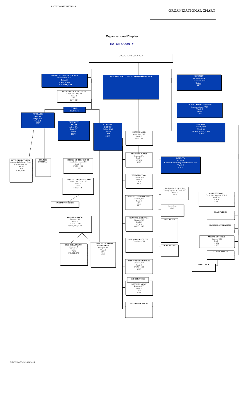#### **ORGANIZATIONAL CHART**

#### **Organizational Display**

#### **EATON COUNTY**



ELECTED OFFICIALS IN BLUE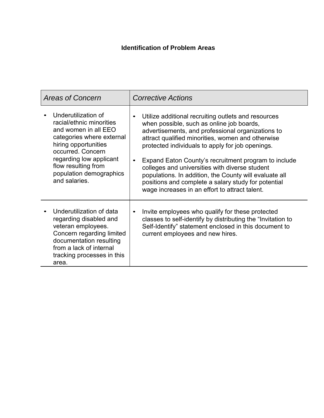#### **Identification of Problem Areas**

| <b>Areas of Concern</b>                                                                                                                                                                                                                         | <b>Corrective Actions</b>                                                                                                                                                                                                                                                                                                                                                                                                                                                                                                                                |
|-------------------------------------------------------------------------------------------------------------------------------------------------------------------------------------------------------------------------------------------------|----------------------------------------------------------------------------------------------------------------------------------------------------------------------------------------------------------------------------------------------------------------------------------------------------------------------------------------------------------------------------------------------------------------------------------------------------------------------------------------------------------------------------------------------------------|
| Underutilization of<br>racial/ethnic minorities<br>and women in all EEO<br>categories where external<br>hiring opportunities<br>occurred. Concern<br>regarding low applicant<br>flow resulting from<br>population demographics<br>and salaries. | Utilize additional recruiting outlets and resources<br>$\bullet$<br>when possible, such as online job boards,<br>advertisements, and professional organizations to<br>attract qualified minorities, women and otherwise<br>protected individuals to apply for job openings.<br>Expand Eaton County's recruitment program to include<br>colleges and universities with diverse student<br>populations. In addition, the County will evaluate all<br>positions and complete a salary study for potential<br>wage increases in an effort to attract talent. |
| Underutilization of data<br>regarding disabled and<br>veteran employees.<br>Concern regarding limited<br>documentation resulting<br>from a lack of internal<br>tracking processes in this<br>area.                                              | Invite employees who qualify for these protected<br>$\bullet$<br>classes to self-identify by distributing the "Invitation to<br>Self-Identify" statement enclosed in this document to<br>current employees and new hires.                                                                                                                                                                                                                                                                                                                                |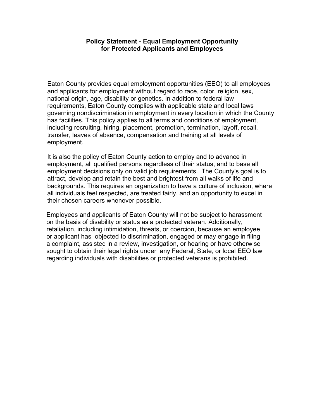#### **Policy Statement - Equal Employment Opportunity for Protected Applicants and Employees**

Eaton County provides equal employment opportunities (EEO) to all employees and applicants for employment without regard to race, color, religion, sex, national origin, age, disability or genetics. In addition to federal law requirements, Eaton County complies with applicable state and local laws governing nondiscrimination in employment in every location in which the County has facilities. This policy applies to all terms and conditions of employment, including recruiting, hiring, placement, promotion, termination, layoff, recall, transfer, leaves of absence, compensation and training at all levels of employment.

It is also the policy of Eaton County action to employ and to advance in employment, all qualified persons regardless of their status, and to base all employment decisions only on valid job requirements. The County's goal is to attract, develop and retain the best and brightest from all walks of life and backgrounds. This requires an organization to have a culture of inclusion, where all individuals feel respected, are treated fairly, and an opportunity to excel in their chosen careers whenever possible.

Employees and applicants of Eaton County will not be subject to harassment on the basis of disability or status as a protected veteran. Additionally, retaliation, including intimidation, threats, or coercion, because an employee or applicant has objected to discrimination, engaged or may engage in filing a complaint, assisted in a review, investigation, or hearing or have otherwise sought to obtain their legal rights under any Federal, State, or local EEO law regarding individuals with disabilities or protected veterans is prohibited.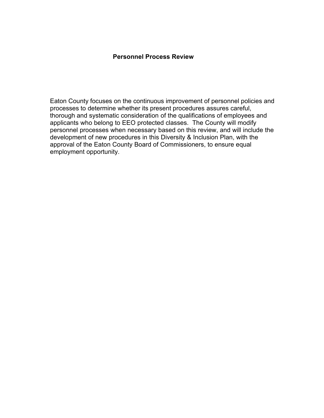#### **Personnel Process Review**

Eaton County focuses on the continuous improvement of personnel policies and processes to determine whether its present procedures assures careful, thorough and systematic consideration of the qualifications of employees and applicants who belong to EEO protected classes. The County will modify personnel processes when necessary based on this review, and will include the development of new procedures in this Diversity & Inclusion Plan, with the approval of the Eaton County Board of Commissioners, to ensure equal employment opportunity.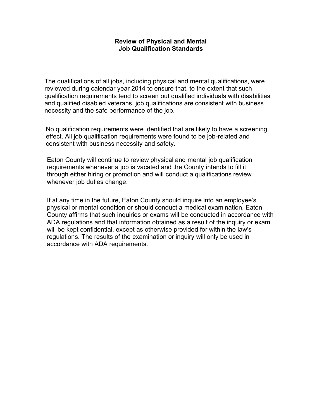#### **Review of Physical and Mental Job Qualification Standards**

The qualifications of all jobs, including physical and mental qualifications, were reviewed during calendar year 2014 to ensure that, to the extent that such qualification requirements tend to screen out qualified individuals with disabilities and qualified disabled veterans, job qualifications are consistent with business necessity and the safe performance of the job.

No qualification requirements were identified that are likely to have a screening effect. All job qualification requirements were found to be job-related and consistent with business necessity and safety.

Eaton County will continue to review physical and mental job qualification requirements whenever a job is vacated and the County intends to fill it through either hiring or promotion and will conduct a qualifications review whenever job duties change.

If at any time in the future, Eaton County should inquire into an employee's physical or mental condition or should conduct a medical examination, Eaton County affirms that such inquiries or exams will be conducted in accordance with ADA regulations and that information obtained as a result of the inquiry or exam will be kept confidential, except as otherwise provided for within the law's regulations. The results of the examination or inquiry will only be used in accordance with ADA requirements.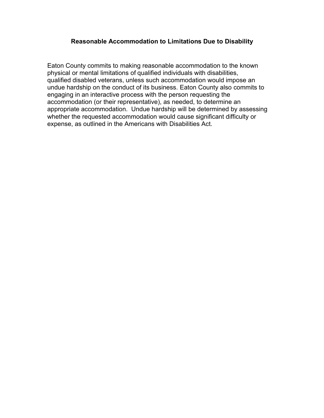#### **Reasonable Accommodation to Limitations Due to Disability**

Eaton County commits to making reasonable accommodation to the known physical or mental limitations of qualified individuals with disabilities, qualified disabled veterans, unless such accommodation would impose an undue hardship on the conduct of its business. Eaton County also commits to engaging in an interactive process with the person requesting the accommodation (or their representative), as needed, to determine an appropriate accommodation. Undue hardship will be determined by assessing whether the requested accommodation would cause significant difficulty or expense, as outlined in the Americans with Disabilities Act.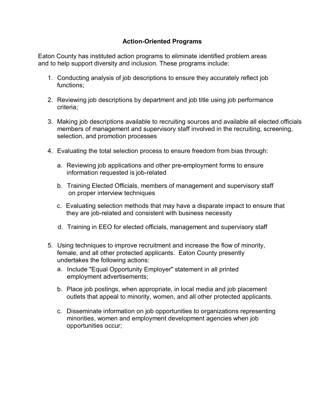#### **Action-Oriented Programs**

Eaton County has instituted action programs to eliminate identified problem areas and to help support diversity and inclusion. These programs include:

- 1. Conducting analysis of job descriptions to ensure they accurately reflect job functions;
- 2. Reviewing job descriptions by department and job title using job performance criteria;
- 3. Making job descriptions available to recruiting sources and available all elected officials members of management and supervisory staff involved in the recruiting, screening, selection, and promotion processes
- 4. Evaluating the total selection process to ensure freedom from bias through:
	- a. Reviewing job applications and other pre-employment forms to ensure information requested is job-related
	- b. Training Elected Officials, members of management and supervisory staff on proper interview techniques
	- c. Evaluating selection methods that may have a disparate impact to ensure that they are job-related and consistent with business necessity
	- d. Training in EEO for elected officials, management and supervisory staff
- 5. Using techniques to improve recruitment and increase the flow of minority, female, and all other protected applicants. Eaton County presently undertakes the following actions:
	- a. Include "Equal Opportunity Employer" statement in all printed employment advertisements;
	- b. Place job postings, when appropriate, in local media and job placement outlets that appeal to minority, women, and all other protected applicants.
	- c. Disseminate information on job opportunities to organizations representing minorities, women and employment development agencies when job opportunities occur;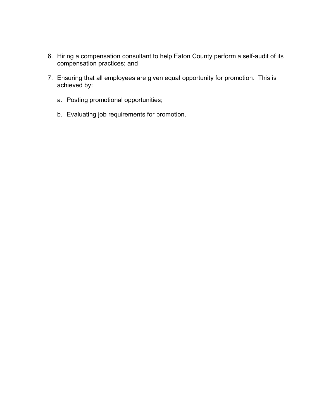- 6. Hiring a compensation consultant to help Eaton County perform a self-audit of its compensation practices; and
- 7. Ensuring that all employees are given equal opportunity for promotion. This is achieved by:
	- a. Posting promotional opportunities;
	- b. Evaluating job requirements for promotion.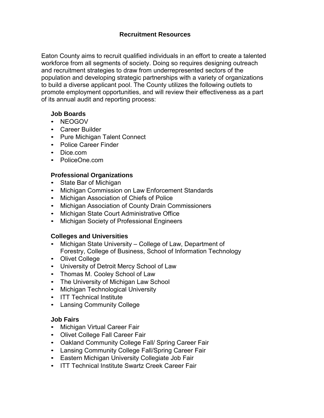#### **Recruitment Resources**

Eaton County aims to recruit qualified individuals in an effort to create a talented workforce from all segments of society. Doing so requires designing outreach and recruitment strategies to draw from underrepresented sectors of the population and developing strategic partnerships with a variety of organizations to build a diverse applicant pool. The County utilizes the following outlets to promote employment opportunities, and will review their effectiveness as a part of its annual audit and reporting process:

#### **Job Boards**

- NEOGOV
- Career Builder
- Pure Michigan Talent Connect
- Police Career Finder
- Dice.com
- PoliceOne.com

#### **Professional Organizations**

- State Bar of Michigan
- Michigan Commission on Law Enforcement Standards
- Michigan Association of Chiefs of Police
- Michigan Association of County Drain Commissioners
- Michigan State Court Administrative Office
- Michigan Society of Professional Engineers

#### **Colleges and Universities**

- Michigan State University College of Law, Department of Forestry, College of Business, School of Information Technology
- Olivet College
- University of Detroit Mercy School of Law
- Thomas M. Cooley School of Law
- The University of Michigan Law School
- Michigan Technological University
- ITT Technical Institute
- Lansing Community College

#### **Job Fairs**

- Michigan Virtual Career Fair
- Olivet College Fall Career Fair
- Oakland Community College Fall/ Spring Career Fair
- Lansing Community College Fall/Spring Career Fair
- Eastern Michigan University Collegiate Job Fair
- ITT Technical Institute Swartz Creek Career Fair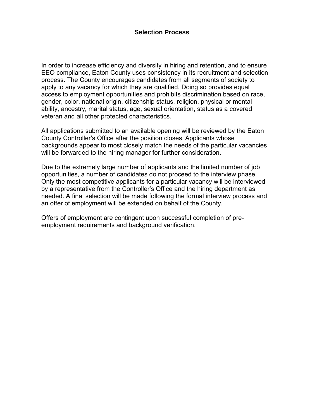In order to increase efficiency and diversity in hiring and retention, and to ensure EEO compliance, Eaton County uses consistency in its recruitment and selection process. The County encourages candidates from all segments of society to apply to any vacancy for which they are qualified. Doing so provides equal access to employment opportunities and prohibits discrimination based on race, gender, color, national origin, citizenship status, religion, physical or mental ability, ancestry, marital status, age, sexual orientation, status as a covered veteran and all other protected characteristics.

All applications submitted to an available opening will be reviewed by the Eaton County Controller's Office after the position closes. Applicants whose backgrounds appear to most closely match the needs of the particular vacancies will be forwarded to the hiring manager for further consideration.

Due to the extremely large number of applicants and the limited number of job opportunities, a number of candidates do not proceed to the interview phase. Only the most competitive applicants for a particular vacancy will be interviewed by a representative from the Controller's Office and the hiring department as needed. A final selection will be made following the formal interview process and an offer of employment will be extended on behalf of the County.

Offers of employment are contingent upon successful completion of preemployment requirements and background verification.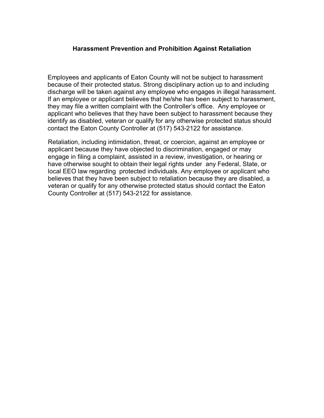#### **Harassment Prevention and Prohibition Against Retaliation**

Employees and applicants of Eaton County will not be subject to harassment because of their protected status. Strong disciplinary action up to and including discharge will be taken against any employee who engages in illegal harassment. If an employee or applicant believes that he/she has been subject to harassment, they may file a written complaint with the Controller's office. Any employee or applicant who believes that they have been subject to harassment because they identify as disabled, veteran or qualify for any otherwise protected status should contact the Eaton County Controller at (517) 543-2122 for assistance.

Retaliation, including intimidation, threat, or coercion, against an employee or applicant because they have objected to discrimination, engaged or may engage in filing a complaint, assisted in a review, investigation, or hearing or have otherwise sought to obtain their legal rights under any Federal, State, or local EEO law regarding protected individuals. Any employee or applicant who believes that they have been subject to retaliation because they are disabled, a veteran or qualify for any otherwise protected status should contact the Eaton County Controller at (517) 543-2122 for assistance.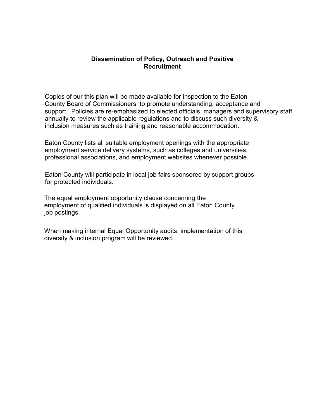#### **Dissemination of Policy, Outreach and Positive Recruitment**

Copies of our this plan will be made available for inspection to the Eaton County Board of Commissioners to promote understanding, acceptance and support. Policies are re-emphasized to elected officials, managers and supervisory staff annually to review the applicable regulations and to discuss such diversity & inclusion measures such as training and reasonable accommodation.

Eaton County lists all suitable employment openings with the appropriate employment service delivery systems, such as colleges and universities, professional associations, and employment websites whenever possible.

Eaton County will participate in local job fairs sponsored by support groups for protected individuals.

The equal employment opportunity clause concerning the employment of qualified individuals is displayed on all Eaton County job postings.

When making internal Equal Opportunity audits, implementation of this diversity & inclusion program will be reviewed.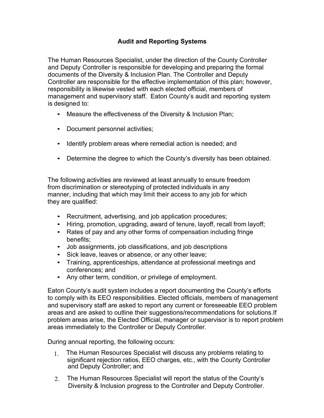#### **Audit and Reporting Systems**

The Human Resources Specialist, under the direction of the County Controller and Deputy Controller is responsible for developing and preparing the formal documents of the Diversity & Inclusion Plan. The Controller and Deputy Controller are responsible for the effective implementation of this plan; however, responsibility is likewise vested with each elected official, members of management and supervisory staff. Eaton County's audit and reporting system is designed to:

- Measure the effectiveness of the Diversity & Inclusion Plan;
- Document personnel activities;
- Identify problem areas where remedial action is needed; and
- Determine the degree to which the County's diversity has been obtained.

The following activities are reviewed at least annually to ensure freedom from discrimination or stereotyping of protected individuals in any manner, including that which may limit their access to any job for which they are qualified:

- Recruitment, advertising, and job application procedures;
- Hiring, promotion, upgrading, award of tenure, layoff, recall from layoff;
- Rates of pay and any other forms of compensation including fringe benefits;
- Job assignments, job classifications, and job descriptions
- Sick leave, leaves or absence, or any other leave;
- Training, apprenticeships, attendance at professional meetings and conferences; and
- Any other term, condition, or privilege of employment.

Eaton County's audit system includes a report documenting the County's efforts to comply with its EEO responsibilities. Elected officials, members of management and supervisory staff are asked to report any current or foreseeable EEO problem areas and are asked to outline their suggestions/recommendations for solutions.If problem areas arise, the Elected Official, manager or supervisor is to report problem areas immediately to the Controller or Deputy Controller.

During annual reporting, the following occurs:

- 1. The Human Resources Specialist will discuss any problems relating to significant rejection ratios, EEO charges, etc., with the County Controller and Deputy Controller; and
- 2. The Human Resources Specialist will report the status of the County's Diversity & Inclusion progress to the Controller and Deputy Controller.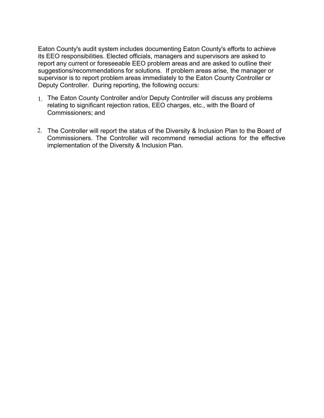Eaton County's audit system includes documenting Eaton County's efforts to achieve its EEO responsibilities. Elected officials, managers and supervisors are asked to report any current or foreseeable EEO problem areas and are asked to outline their suggestions/recommendations for solutions. If problem areas arise, the manager or supervisor is to report problem areas immediately to the Eaton County Controller or Deputy Controller. During reporting, the following occurs:

- 1. The Eaton County Controller and/or Deputy Controller will discuss any problems relating to significant rejection ratios, EEO charges, etc., with the Board of Commissioners; and
- 2. The Controller will report the status of the Diversity & Inclusion Plan to the Board of Commissioners. The Controller will recommend remedial actions for the effective implementation of the Diversity & Inclusion Plan.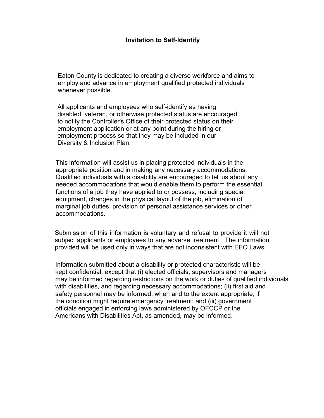#### **Invitation to Self-Identify**

Eaton County is dedicated to creating a diverse workforce and aims to employ and advance in employment qualified protected individuals whenever possible.

All applicants and employees who self-identify as having disabled, veteran, or otherwise protected status are encouraged to notify the Controller's Office of their protected status on their employment application or at any point during the hiring or employment process so that they may be included in our Diversity & Inclusion Plan.

This information will assist us in placing protected individuals in the appropriate position and in making any necessary accommodations. Qualified individuals with a disability are encouraged to tell us about any needed accommodations that would enable them to perform the essential functions of a job they have applied to or possess, including special equipment, changes in the physical layout of the job, elimination of marginal job duties, provision of personal assistance services or other accommodations.

Submission of this information is voluntary and refusal to provide it will not subject applicants or employees to any adverse treatment. The information provided will be used only in ways that are not inconsistent with EEO Laws.

Information submitted about a disability or protected characteristic will be kept confidential, except that (i) elected officials, supervisors and managers may be informed regarding restrictions on the work or duties of qualified individuals with disabilities, and regarding necessary accommodations; (ii) first aid and safety personnel may be informed, when and to the extent appropriate, if the condition might require emergency treatment; and (iii) government officials engaged in enforcing laws administered by OFCCP or the Americans with Disabilities Act, as amended, may be informed.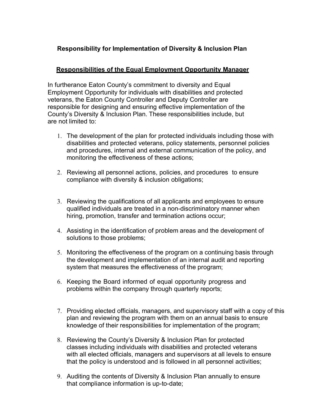#### **Responsibility for Implementation of Diversity & Inclusion Plan**

#### **Responsibilities of the Equal Employment Opportunity Manager**

In furtherance Eaton County's commitment to diversity and Equal Employment Opportunity for individuals with disabilities and protected veterans, the Eaton County Controller and Deputy Controller are responsible for designing and ensuring effective implementation of the County's Diversity & Inclusion Plan. These responsibilities include, but are not limited to:

- 1. The development of the plan for protected individuals including those with disabilities and protected veterans, policy statements, personnel policies and procedures, internal and external communication of the policy, and monitoring the effectiveness of these actions;
- 2. Reviewing all personnel actions, policies, and procedures to ensure compliance with diversity & inclusion obligations;
- 3. Reviewing the qualifications of all applicants and employees to ensure qualified individuals are treated in a non-discriminatory manner when hiring, promotion, transfer and termination actions occur;
- 4. Assisting in the identification of problem areas and the development of solutions to those problems;
- 5. Monitoring the effectiveness of the program on a continuing basis through the development and implementation of an internal audit and reporting system that measures the effectiveness of the program;
- 6. Keeping the Board informed of equal opportunity progress and problems within the company through quarterly reports;
- 7. Providing elected officials, managers, and supervisory staff with a copy of this plan and reviewing the program with them on an annual basis to ensure knowledge of their responsibilities for implementation of the program;
- 8. Reviewing the County's Diversity & Inclusion Plan for protected classes including individuals with disabilities and protected veterans with all elected officials, managers and supervisors at all levels to ensure that the policy is understood and is followed in all personnel activities;
- 9. Auditing the contents of Diversity & Inclusion Plan annually to ensure that compliance information is up-to-date;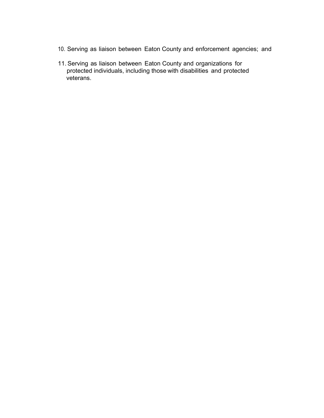- 10. Serving as liaison between Eaton County and enforcement agencies; and
- 11. Serving as liaison between Eaton County and organizations for protected individuals, including those with disabilities and protected veterans.